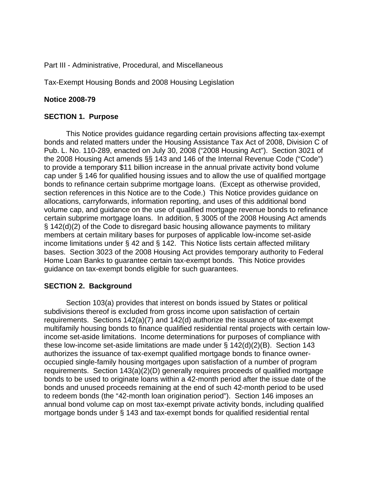Part III - Administrative, Procedural, and Miscellaneous

Tax-Exempt Housing Bonds and 2008 Housing Legislation

# **Notice 2008-79**

## **SECTION 1. Purpose**

This Notice provides guidance regarding certain provisions affecting tax-exempt bonds and related matters under the Housing Assistance Tax Act of 2008, Division C of Pub. L. No. 110-289, enacted on July 30, 2008 ("2008 Housing Act"). Section 3021 of the 2008 Housing Act amends §§ 143 and 146 of the Internal Revenue Code ("Code") to provide a temporary \$11 billion increase in the annual private activity bond volume cap under § 146 for qualified housing issues and to allow the use of qualified mortgage bonds to refinance certain subprime mortgage loans. (Except as otherwise provided, section references in this Notice are to the Code.) This Notice provides guidance on allocations, carryforwards, information reporting, and uses of this additional bond volume cap, and guidance on the use of qualified mortgage revenue bonds to refinance certain subprime mortgage loans. In addition, § 3005 of the 2008 Housing Act amends § 142(d)(2) of the Code to disregard basic housing allowance payments to military members at certain military bases for purposes of applicable low-income set-aside income limitations under § 42 and § 142. This Notice lists certain affected military bases. Section 3023 of the 2008 Housing Act provides temporary authority to Federal Home Loan Banks to guarantee certain tax-exempt bonds. This Notice provides guidance on tax-exempt bonds eligible for such guarantees.

# **SECTION 2. Background**

Section 103(a) provides that interest on bonds issued by States or political subdivisions thereof is excluded from gross income upon satisfaction of certain requirements. Sections 142(a)(7) and 142(d) authorize the issuance of tax-exempt multifamily housing bonds to finance qualified residential rental projects with certain lowincome set-aside limitations. Income determinations for purposes of compliance with these low-income set-aside limitations are made under § 142(d)(2)(B). Section 143 authorizes the issuance of tax-exempt qualified mortgage bonds to finance owneroccupied single-family housing mortgages upon satisfaction of a number of program requirements. Section 143(a)(2)(D) generally requires proceeds of qualified mortgage bonds to be used to originate loans within a 42-month period after the issue date of the bonds and unused proceeds remaining at the end of such 42-month period to be used to redeem bonds (the "42-month loan origination period"). Section 146 imposes an annual bond volume cap on most tax-exempt private activity bonds, including qualified mortgage bonds under § 143 and tax-exempt bonds for qualified residential rental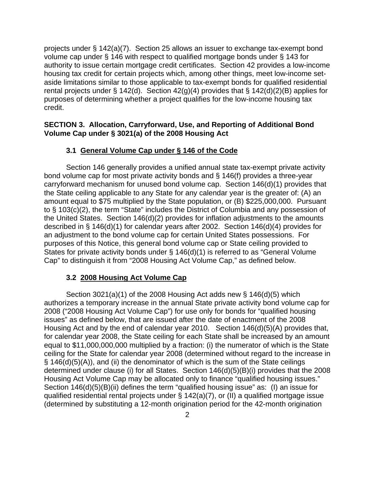projects under § 142(a)(7). Section 25 allows an issuer to exchange tax-exempt bond volume cap under § 146 with respect to qualified mortgage bonds under § 143 for authority to issue certain mortgage credit certificates. Section 42 provides a low-income housing tax credit for certain projects which, among other things, meet low-income setaside limitations similar to those applicable to tax-exempt bonds for qualified residential rental projects under § 142(d). Section  $42(g)(4)$  provides that § 142(d)(2)(B) applies for purposes of determining whether a project qualifies for the low-income housing tax credit.

# **SECTION 3. Allocation, Carryforward, Use, and Reporting of Additional Bond Volume Cap under § 3021(a) of the 2008 Housing Act**

### **3.1 General Volume Cap under § 146 of the Code**

Section 146 generally provides a unified annual state tax-exempt private activity bond volume cap for most private activity bonds and § 146(f) provides a three-year carryforward mechanism for unused bond volume cap. Section 146(d)(1) provides that the State ceiling applicable to any State for any calendar year is the greater of: (A) an amount equal to \$75 multiplied by the State population, or (B) \$225,000,000. Pursuant to § 103(c)(2), the term "State" includes the District of Columbia and any possession of the United States. Section 146(d)(2) provides for inflation adjustments to the amounts described in § 146(d)(1) for calendar years after 2002. Section 146(d)(4) provides for an adjustment to the bond volume cap for certain United States possessions. For purposes of this Notice, this general bond volume cap or State ceiling provided to States for private activity bonds under § 146(d)(1) is referred to as "General Volume Cap" to distinguish it from "2008 Housing Act Volume Cap," as defined below.

### **3.2 2008 Housing Act Volume Cap**

Section  $3021(a)(1)$  of the 2008 Housing Act adds new § 146(d)(5) which authorizes a temporary increase in the annual State private activity bond volume cap for 2008 ("2008 Housing Act Volume Cap") for use only for bonds for "qualified housing issues" as defined below, that are issued after the date of enactment of the 2008 Housing Act and by the end of calendar year 2010. Section 146(d)(5)(A) provides that, for calendar year 2008, the State ceiling for each State shall be increased by an amount equal to \$11,000,000,000 multiplied by a fraction: (i) the numerator of which is the State ceiling for the State for calendar year 2008 (determined without regard to the increase in § 146(d)(5)(A)), and (ii) the denominator of which is the sum of the State ceilings determined under clause (i) for all States. Section 146(d)(5)(B)(i) provides that the 2008 Housing Act Volume Cap may be allocated only to finance "qualified housing issues." Section 146(d)(5)(B)(ii) defines the term "qualified housing issue" as: (I) an issue for qualified residential rental projects under § 142(a)(7), or (II) a qualified mortgage issue (determined by substituting a 12-month origination period for the 42-month origination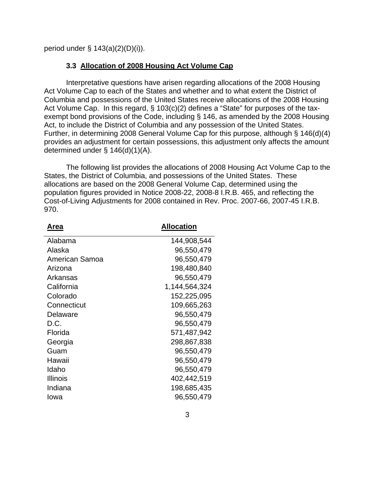period under  $\S$  143(a)(2)(D)(i)).

#### **3.3 Allocation of 2008 Housing Act Volume Cap**

Interpretative questions have arisen regarding allocations of the 2008 Housing Act Volume Cap to each of the States and whether and to what extent the District of Columbia and possessions of the United States receive allocations of the 2008 Housing Act Volume Cap. In this regard, § 103(c)(2) defines a "State" for purposes of the taxexempt bond provisions of the Code, including § 146, as amended by the 2008 Housing Act, to include the District of Columbia and any possession of the United States. Further, in determining 2008 General Volume Cap for this purpose, although § 146(d)(4) provides an adjustment for certain possessions, this adjustment only affects the amount determined under § 146(d)(1)(A).

 The following list provides the allocations of 2008 Housing Act Volume Cap to the States, the District of Columbia, and possessions of the United States. These allocations are based on the 2008 General Volume Cap, determined using the population figures provided in Notice 2008-22, 2008-8 I.R.B. 465, and reflecting the Cost-of-Living Adjustments for 2008 contained in Rev. Proc. 2007-66, 2007-45 I.R.B. 970.

| Area            | <b>Allocation</b> |
|-----------------|-------------------|
| Alabama         | 144,908,544       |
| Alaska          | 96,550,479        |
| American Samoa  | 96,550,479        |
| Arizona         | 198,480,840       |
| Arkansas        | 96,550,479        |
| California      | 1,144,564,324     |
| Colorado        | 152,225,095       |
| Connecticut     | 109,665,263       |
| Delaware        | 96,550,479        |
| D.C.            | 96,550,479        |
| Florida         | 571,487,942       |
| Georgia         | 298,867,838       |
| Guam            | 96,550,479        |
| Hawaii          | 96,550,479        |
| Idaho           | 96,550,479        |
| <b>Illinois</b> | 402,442,519       |
| Indiana         | 198,685,435       |
| Iowa            | 96,550,479        |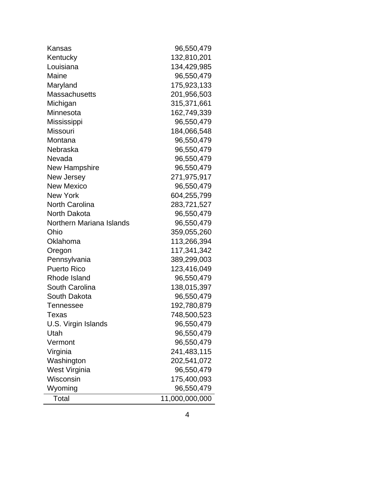| Kansas                   | 96,550,479     |
|--------------------------|----------------|
| Kentucky                 | 132,810,201    |
| Louisiana                | 134,429,985    |
| Maine                    | 96,550,479     |
| Maryland                 | 175,923,133    |
| <b>Massachusetts</b>     | 201,956,503    |
| Michigan                 | 315,371,661    |
| Minnesota                | 162,749,339    |
| Mississippi              | 96,550,479     |
| <b>Missouri</b>          | 184,066,548    |
| Montana                  | 96,550,479     |
| Nebraska                 | 96,550,479     |
| Nevada                   | 96,550,479     |
| New Hampshire            | 96,550,479     |
| New Jersey               | 271,975,917    |
| <b>New Mexico</b>        | 96,550,479     |
| <b>New York</b>          | 604,255,799    |
| <b>North Carolina</b>    | 283,721,527    |
| North Dakota             | 96,550,479     |
| Northern Mariana Islands | 96,550,479     |
| Ohio                     | 359,055,260    |
| Oklahoma                 | 113,266,394    |
| Oregon                   | 117,341,342    |
| Pennsylvania             | 389,299,003    |
| <b>Puerto Rico</b>       | 123,416,049    |
| Rhode Island             | 96,550,479     |
| South Carolina           | 138,015,397    |
| South Dakota             | 96,550,479     |
| Tennessee                | 192,780,879    |
| <b>Texas</b>             | 748,500,523    |
| U.S. Virgin Islands      | 96,550,479     |
| Utah                     | 96,550,479     |
| Vermont                  | 96,550,479     |
| Virginia                 | 241,483,115    |
| Washington               | 202,541,072    |
| West Virginia            | 96,550,479     |
| Wisconsin                | 175,400,093    |
| Wyoming                  | 96,550,479     |
| Total                    | 11,000,000,000 |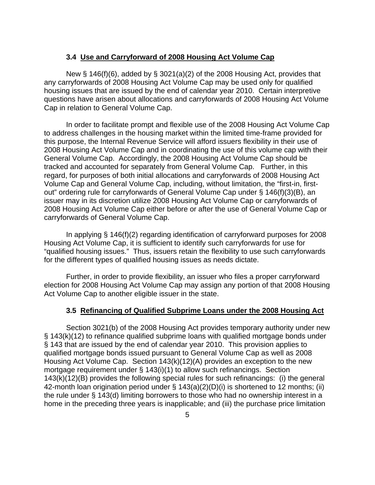#### **3.4 Use and Carryforward of 2008 Housing Act Volume Cap**

New § 146(f)(6), added by § 3021(a)(2) of the 2008 Housing Act, provides that any carryforwards of 2008 Housing Act Volume Cap may be used only for qualified housing issues that are issued by the end of calendar year 2010. Certain interpretive questions have arisen about allocations and carryforwards of 2008 Housing Act Volume Cap in relation to General Volume Cap.

In order to facilitate prompt and flexible use of the 2008 Housing Act Volume Cap to address challenges in the housing market within the limited time-frame provided for this purpose, the Internal Revenue Service will afford issuers flexibility in their use of 2008 Housing Act Volume Cap and in coordinating the use of this volume cap with their General Volume Cap. Accordingly, the 2008 Housing Act Volume Cap should be tracked and accounted for separately from General Volume Cap. Further, in this regard, for purposes of both initial allocations and carryforwards of 2008 Housing Act Volume Cap and General Volume Cap, including, without limitation, the "first-in, firstout" ordering rule for carryforwards of General Volume Cap under § 146(f)(3)(B), an issuer may in its discretion utilize 2008 Housing Act Volume Cap or carryforwards of 2008 Housing Act Volume Cap either before or after the use of General Volume Cap or carryforwards of General Volume Cap.

In applying § 146(f)(2) regarding identification of carryforward purposes for 2008 Housing Act Volume Cap, it is sufficient to identify such carryforwards for use for "qualified housing issues." Thus, issuers retain the flexibility to use such carryforwards for the different types of qualified housing issues as needs dictate.

Further, in order to provide flexibility, an issuer who files a proper carryforward election for 2008 Housing Act Volume Cap may assign any portion of that 2008 Housing Act Volume Cap to another eligible issuer in the state.

#### **3.5 Refinancing of Qualified Subprime Loans under the 2008 Housing Act**

Section 3021(b) of the 2008 Housing Act provides temporary authority under new § 143(k)(12) to refinance qualified subprime loans with qualified mortgage bonds under § 143 that are issued by the end of calendar year 2010. This provision applies to qualified mortgage bonds issued pursuant to General Volume Cap as well as 2008 Housing Act Volume Cap. Section 143(k)(12)(A) provides an exception to the new mortgage requirement under § 143(i)(1) to allow such refinancings. Section 143(k)(12)(B) provides the following special rules for such refinancings: (i) the general 42-month loan origination period under § 143(a)(2)(D)(i) is shortened to 12 months; (ii) the rule under § 143(d) limiting borrowers to those who had no ownership interest in a home in the preceding three years is inapplicable; and (iii) the purchase price limitation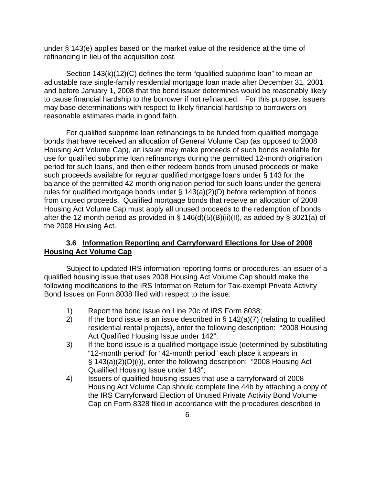under § 143(e) applies based on the market value of the residence at the time of refinancing in lieu of the acquisition cost.

Section 143(k)(12)(C) defines the term "qualified subprime loan" to mean an adjustable rate single-family residential mortgage loan made after December 31, 2001 and before January 1, 2008 that the bond issuer determines would be reasonably likely to cause financial hardship to the borrower if not refinanced. For this purpose, issuers may base determinations with respect to likely financial hardship to borrowers on reasonable estimates made in good faith.

For qualified subprime loan refinancings to be funded from qualified mortgage bonds that have received an allocation of General Volume Cap (as opposed to 2008 Housing Act Volume Cap), an issuer may make proceeds of such bonds available for use for qualified subprime loan refinancings during the permitted 12-month origination period for such loans, and then either redeem bonds from unused proceeds or make such proceeds available for regular qualified mortgage loans under § 143 for the balance of the permitted 42-month origination period for such loans under the general rules for qualified mortgage bonds under § 143(a)(2)(D) before redemption of bonds from unused proceeds. Qualified mortgage bonds that receive an allocation of 2008 Housing Act Volume Cap must apply all unused proceeds to the redemption of bonds after the 12-month period as provided in §  $146(d)(5)(B)(ii)(II)$ , as added by § 3021(a) of the 2008 Housing Act.

# **3.6 Information Reporting and Carryforward Elections for Use of 2008 Housing Act Volume Cap**

Subject to updated IRS information reporting forms or procedures, an issuer of a qualified housing issue that uses 2008 Housing Act Volume Cap should make the following modifications to the IRS Information Return for Tax-exempt Private Activity Bond Issues on Form 8038 filed with respect to the issue:

- 1) Report the bond issue on Line 20c of IRS Form 8038;
- 2) If the bond issue is an issue described in  $\S$  142(a)(7) (relating to qualified residential rental projects), enter the following description: "2008 Housing Act Qualified Housing Issue under 142";
- 3) If the bond issue is a qualified mortgage issue (determined by substituting "12-month period" for "42-month period" each place it appears in § 143(a)(2)(D)(i)), enter the following description: "2008 Housing Act Qualified Housing Issue under 143";
- 4) Issuers of qualified housing issues that use a carryforward of 2008 Housing Act Volume Cap should complete line 44b by attaching a copy of the IRS Carryforward Election of Unused Private Activity Bond Volume Cap on Form 8328 filed in accordance with the procedures described in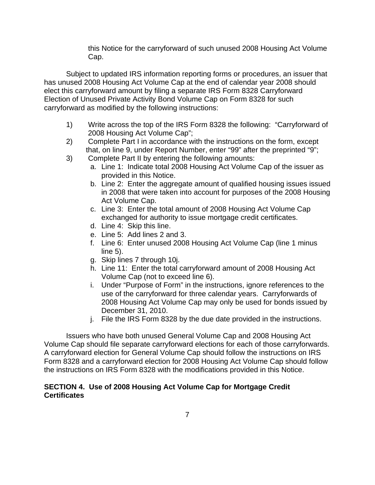this Notice for the carryforward of such unused 2008 Housing Act Volume Cap.

Subject to updated IRS information reporting forms or procedures, an issuer that has unused 2008 Housing Act Volume Cap at the end of calendar year 2008 should elect this carryforward amount by filing a separate IRS Form 8328 Carryforward Election of Unused Private Activity Bond Volume Cap on Form 8328 for such carryforward as modified by the following instructions:

- 1) Write across the top of the IRS Form 8328 the following: "Carryforward of 2008 Housing Act Volume Cap";
- 2) Complete Part I in accordance with the instructions on the form, except that, on line 9, under Report Number, enter "99" after the preprinted "9";
- 3) Complete Part II by entering the following amounts:
	- a. Line 1: Indicate total 2008 Housing Act Volume Cap of the issuer as provided in this Notice.
	- b. Line 2: Enter the aggregate amount of qualified housing issues issued in 2008 that were taken into account for purposes of the 2008 Housing Act Volume Cap.
	- c. Line 3: Enter the total amount of 2008 Housing Act Volume Cap exchanged for authority to issue mortgage credit certificates.
	- d. Line 4: Skip this line.
	- e. Line 5: Add lines 2 and 3.
	- f. Line 6: Enter unused 2008 Housing Act Volume Cap (line 1 minus line 5).
	- g. Skip lines 7 through 10j.
	- h. Line 11: Enter the total carryforward amount of 2008 Housing Act Volume Cap (not to exceed line 6).
	- i. Under "Purpose of Form" in the instructions, ignore references to the use of the carryforward for three calendar years. Carryforwards of 2008 Housing Act Volume Cap may only be used for bonds issued by December 31, 2010.
	- j. File the IRS Form 8328 by the due date provided in the instructions.

Issuers who have both unused General Volume Cap and 2008 Housing Act Volume Cap should file separate carryforward elections for each of those carryforwards. A carryforward election for General Volume Cap should follow the instructions on IRS Form 8328 and a carryforward election for 2008 Housing Act Volume Cap should follow the instructions on IRS Form 8328 with the modifications provided in this Notice.

## **SECTION 4. Use of 2008 Housing Act Volume Cap for Mortgage Credit Certificates**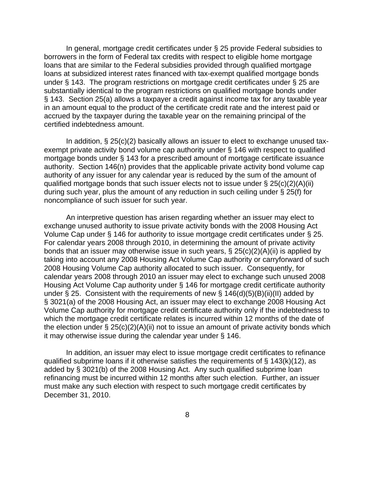In general, mortgage credit certificates under § 25 provide Federal subsidies to borrowers in the form of Federal tax credits with respect to eligible home mortgage loans that are similar to the Federal subsidies provided through qualified mortgage loans at subsidized interest rates financed with tax-exempt qualified mortgage bonds under § 143. The program restrictions on mortgage credit certificates under § 25 are substantially identical to the program restrictions on qualified mortgage bonds under § 143. Section 25(a) allows a taxpayer a credit against income tax for any taxable year in an amount equal to the product of the certificate credit rate and the interest paid or accrued by the taxpayer during the taxable year on the remaining principal of the certified indebtedness amount.

In addition, § 25(c)(2) basically allows an issuer to elect to exchange unused taxexempt private activity bond volume cap authority under § 146 with respect to qualified mortgage bonds under § 143 for a prescribed amount of mortgage certificate issuance authority. Section 146(n) provides that the applicable private activity bond volume cap authority of any issuer for any calendar year is reduced by the sum of the amount of qualified mortgage bonds that such issuer elects not to issue under § 25(c)(2)(A)(ii) during such year, plus the amount of any reduction in such ceiling under § 25(f) for noncompliance of such issuer for such year.

An interpretive question has arisen regarding whether an issuer may elect to exchange unused authority to issue private activity bonds with the 2008 Housing Act Volume Cap under § 146 for authority to issue mortgage credit certificates under § 25. For calendar years 2008 through 2010, in determining the amount of private activity bonds that an issuer may otherwise issue in such years, § 25(c)(2)(A)(ii) is applied by taking into account any 2008 Housing Act Volume Cap authority or carryforward of such 2008 Housing Volume Cap authority allocated to such issuer. Consequently, for calendar years 2008 through 2010 an issuer may elect to exchange such unused 2008 Housing Act Volume Cap authority under § 146 for mortgage credit certificate authority under § 25. Consistent with the requirements of new §  $146(d)(5)(B)(ii)(II)$  added by § 3021(a) of the 2008 Housing Act, an issuer may elect to exchange 2008 Housing Act Volume Cap authority for mortgage credit certificate authority only if the indebtedness to which the mortgage credit certificate relates is incurred within 12 months of the date of the election under  $\S 25(c)(2)(A)(ii)$  not to issue an amount of private activity bonds which it may otherwise issue during the calendar year under § 146.

In addition, an issuer may elect to issue mortgage credit certificates to refinance qualified subprime loans if it otherwise satisfies the requirements of  $\S$  143(k)(12), as added by § 3021(b) of the 2008 Housing Act. Any such qualified subprime loan refinancing must be incurred within 12 months after such election. Further, an issuer must make any such election with respect to such mortgage credit certificates by December 31, 2010.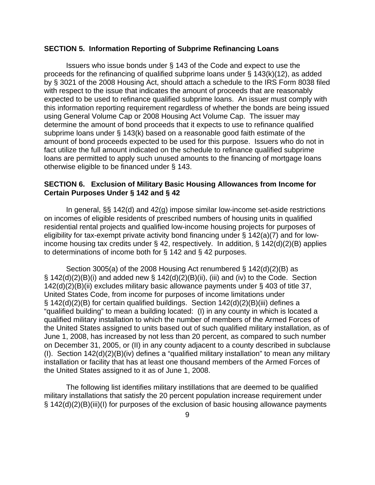#### **SECTION 5. Information Reporting of Subprime Refinancing Loans**

Issuers who issue bonds under § 143 of the Code and expect to use the proceeds for the refinancing of qualified subprime loans under § 143(k)(12), as added by § 3021 of the 2008 Housing Act, should attach a schedule to the IRS Form 8038 filed with respect to the issue that indicates the amount of proceeds that are reasonably expected to be used to refinance qualified subprime loans. An issuer must comply with this information reporting requirement regardless of whether the bonds are being issued using General Volume Cap or 2008 Housing Act Volume Cap. The issuer may determine the amount of bond proceeds that it expects to use to refinance qualified subprime loans under § 143(k) based on a reasonable good faith estimate of the amount of bond proceeds expected to be used for this purpose. Issuers who do not in fact utilize the full amount indicated on the schedule to refinance qualified subprime loans are permitted to apply such unused amounts to the financing of mortgage loans otherwise eligible to be financed under § 143.

### **SECTION 6. Exclusion of Military Basic Housing Allowances from Income for Certain Purposes Under § 142 and § 42**

In general, §§ 142(d) and 42(g) impose similar low-income set-aside restrictions on incomes of eligible residents of prescribed numbers of housing units in qualified residential rental projects and qualified low-income housing projects for purposes of eligibility for tax-exempt private activity bond financing under § 142(a)(7) and for lowincome housing tax credits under § 42, respectively. In addition, § 142(d)(2)(B) applies to determinations of income both for § 142 and § 42 purposes.

Section 3005(a) of the 2008 Housing Act renumbered § 142(d)(2)(B) as § 142(d)(2)(B)(i) and added new § 142(d)( $2$ )(B)(ii), (iii) and (iv) to the Code. Section 142(d)(2)(B)(ii) excludes military basic allowance payments under § 403 of title 37, United States Code, from income for purposes of income limitations under § 142(d)(2)(B) for certain qualified buildings. Section 142(d)(2)(B)(iii) defines a "qualified building" to mean a building located: (I) in any county in which is located a qualified military installation to which the number of members of the Armed Forces of the United States assigned to units based out of such qualified military installation, as of June 1, 2008, has increased by not less than 20 percent, as compared to such number on December 31, 2005, or (II) in any county adjacent to a county described in subclause (I). Section 142(d)(2)(B)(iv) defines a "qualified military installation" to mean any military installation or facility that has at least one thousand members of the Armed Forces of the United States assigned to it as of June 1, 2008.

The following list identifies military instillations that are deemed to be qualified military installations that satisfy the 20 percent population increase requirement under § 142(d)(2)(B)(iii)(I) for purposes of the exclusion of basic housing allowance payments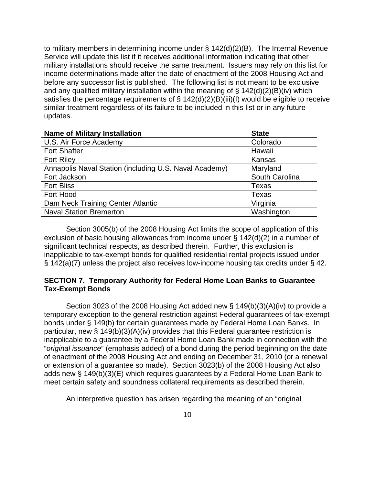to military members in determining income under § 142(d)(2)(B). The Internal Revenue Service will update this list if it receives additional information indicating that other military installations should receive the same treatment. Issuers may rely on this list for income determinations made after the date of enactment of the 2008 Housing Act and before any successor list is published. The following list is not meant to be exclusive and any qualified military installation within the meaning of  $\S$  142(d)(2)(B)(iv) which satisfies the percentage requirements of  $\S$  142(d)(2)(B)(iii)(I) would be eligible to receive similar treatment regardless of its failure to be included in this list or in any future updates.

| <b>Name of Military Installation</b>                   | <b>State</b>   |
|--------------------------------------------------------|----------------|
| U.S. Air Force Academy                                 | Colorado       |
| <b>Fort Shafter</b>                                    | Hawaii         |
| <b>Fort Riley</b>                                      | Kansas         |
| Annapolis Naval Station (including U.S. Naval Academy) | Maryland       |
| Fort Jackson                                           | South Carolina |
| <b>Fort Bliss</b>                                      | Texas          |
| Fort Hood                                              | Texas          |
| Dam Neck Training Center Atlantic                      | Virginia       |
| <b>Naval Station Bremerton</b>                         | Washington     |

Section 3005(b) of the 2008 Housing Act limits the scope of application of this exclusion of basic housing allowances from income under § 142(d)(2) in a number of significant technical respects, as described therein. Further, this exclusion is inapplicable to tax-exempt bonds for qualified residential rental projects issued under § 142(a)(7) unless the project also receives low-income housing tax credits under § 42.

## **SECTION 7. Temporary Authority for Federal Home Loan Banks to Guarantee Tax-Exempt Bonds**

Section 3023 of the 2008 Housing Act added new § 149(b)(3)(A)(iv) to provide a temporary exception to the general restriction against Federal guarantees of tax-exempt bonds under § 149(b) for certain guarantees made by Federal Home Loan Banks. In particular, new § 149(b)(3)(A)(iv) provides that this Federal guarantee restriction is inapplicable to a guarantee by a Federal Home Loan Bank made in connection with the "*original issuance*" (emphasis added) of a bond during the period beginning on the date of enactment of the 2008 Housing Act and ending on December 31, 2010 (or a renewal or extension of a guarantee so made). Section 3023(b) of the 2008 Housing Act also adds new § 149(b)(3)(E) which requires guarantees by a Federal Home Loan Bank to meet certain safety and soundness collateral requirements as described therein.

An interpretive question has arisen regarding the meaning of an "original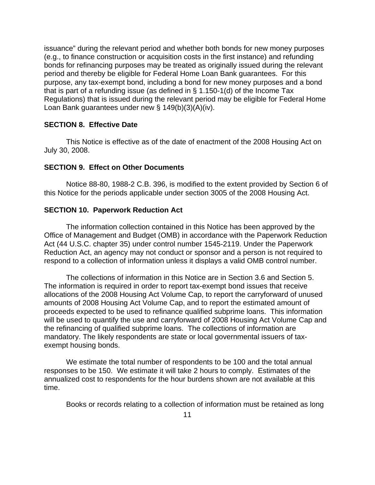issuance" during the relevant period and whether both bonds for new money purposes (e.g., to finance construction or acquisition costs in the first instance) and refunding bonds for refinancing purposes may be treated as originally issued during the relevant period and thereby be eligible for Federal Home Loan Bank guarantees. For this purpose, any tax-exempt bond, including a bond for new money purposes and a bond that is part of a refunding issue (as defined in § 1.150-1(d) of the Income Tax Regulations) that is issued during the relevant period may be eligible for Federal Home Loan Bank guarantees under new § 149(b)(3)(A)(iv).

### **SECTION 8. Effective Date**

 This Notice is effective as of the date of enactment of the 2008 Housing Act on July 30, 2008.

#### **SECTION 9. Effect on Other Documents**

 Notice 88-80, 1988-2 C.B. 396, is modified to the extent provided by Section 6 of this Notice for the periods applicable under section 3005 of the 2008 Housing Act.

#### **SECTION 10. Paperwork Reduction Act**

The information collection contained in this Notice has been approved by the Office of Management and Budget (OMB) in accordance with the Paperwork Reduction Act (44 U.S.C. chapter 35) under control number 1545-2119. Under the Paperwork Reduction Act, an agency may not conduct or sponsor and a person is not required to respond to a collection of information unless it displays a valid OMB control number.

The collections of information in this Notice are in Section 3.6 and Section 5. The information is required in order to report tax-exempt bond issues that receive allocations of the 2008 Housing Act Volume Cap, to report the carryforward of unused amounts of 2008 Housing Act Volume Cap, and to report the estimated amount of proceeds expected to be used to refinance qualified subprime loans. This information will be used to quantify the use and carryforward of 2008 Housing Act Volume Cap and the refinancing of qualified subprime loans. The collections of information are mandatory. The likely respondents are state or local governmental issuers of taxexempt housing bonds.

We estimate the total number of respondents to be 100 and the total annual responses to be 150. We estimate it will take 2 hours to comply. Estimates of the annualized cost to respondents for the hour burdens shown are not available at this time.

Books or records relating to a collection of information must be retained as long